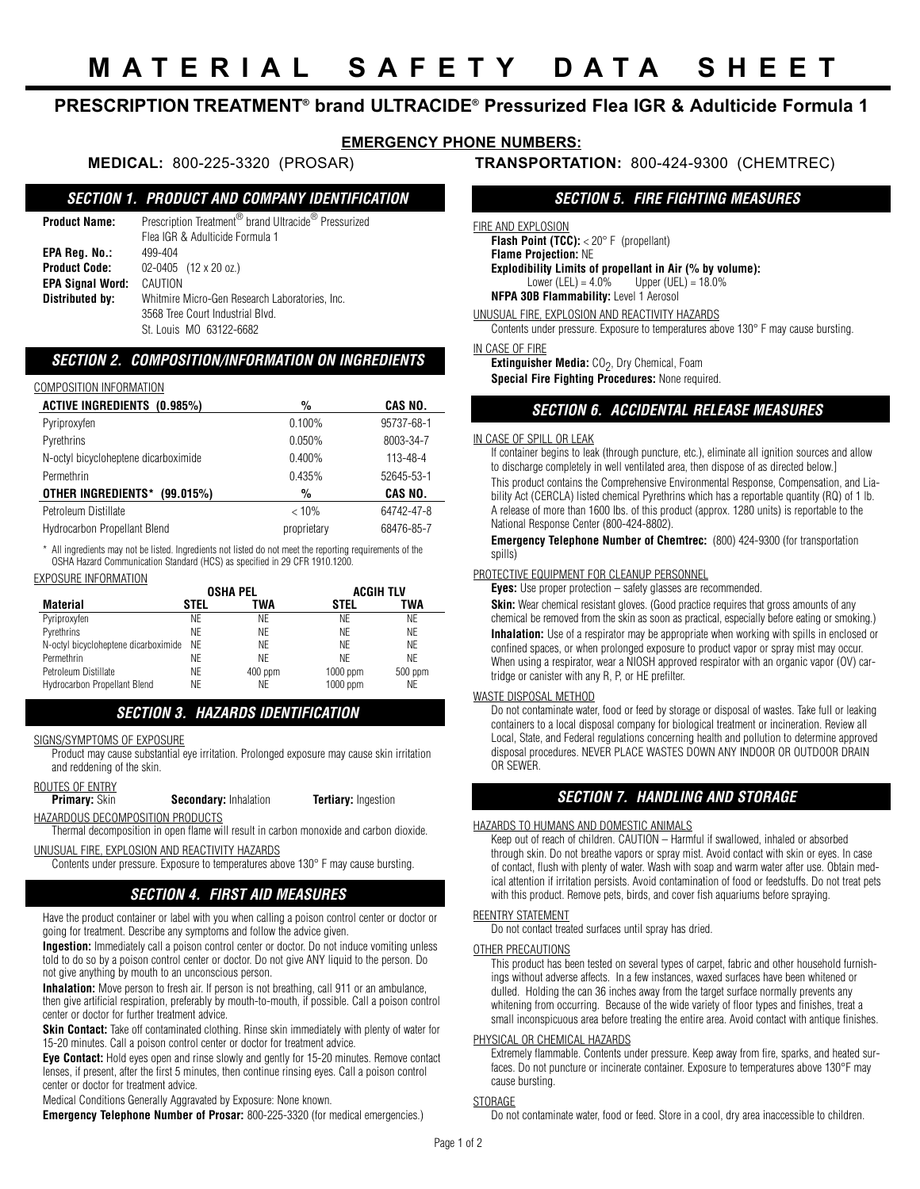# **PRESCRIPTION TREATMENT® brand ULTRACIDE® Pressurized Flea IGR & Adulticide Formula 1**

# **EMERGENCY PHONE NUMBERS:**

### **MEDICAL:** 800-225-3320 (PROSAR) **TRANSPORTATION:** 800-424-9300 (CHEMTREC)

# *SECTION 1. PRODUCT AND COMPANY IDENTIFICATION*

| Product Name:        | Prescription Treatment <sup>®</sup> brand Ultracide <sup>®</sup> Pressurized |  |  |  |  |
|----------------------|------------------------------------------------------------------------------|--|--|--|--|
|                      | Flea IGR & Adulticide Formula 1                                              |  |  |  |  |
| EPA Reg. No.:        | 499-404                                                                      |  |  |  |  |
| <b>Product Code:</b> | $02-0405$ (12 x 20 oz.)                                                      |  |  |  |  |
| EPA Signal Word:     | CAUTION                                                                      |  |  |  |  |
| Distributed by:      | Whitmire Micro-Gen Research Laboratories, Inc.                               |  |  |  |  |
|                      | 3568 Tree Court Industrial Blvd.                                             |  |  |  |  |
|                      | St. Louis MO 63122-6682                                                      |  |  |  |  |

## *SECTION 2. COMPOSITION/INFORMATION ON INGREDIENTS*

### COMPOSITION INFORMATION

| <b>ACTIVE INGREDIENTS (0.985%)</b>   | %           | CAS NO.        |
|--------------------------------------|-------------|----------------|
| Pyriproxyfen                         | 0.100%      | 95737-68-1     |
| Pyrethrins                           | $0.050\%$   | 8003-34-7      |
| N-octyl bicycloheptene dicarboximide | $0.400\%$   | $113 - 48 - 4$ |
| Permethrin                           | 0.435%      | 52645-53-1     |
| OTHER INGREDIENTS*<br>(99.015%)      | %           | CAS NO.        |
| Petroleum Distillate                 | < 10%       | 64742-47-8     |
| <b>Hydrocarbon Propellant Blend</b>  | proprietary | 68476-85-7     |
|                                      |             |                |

\* All ingredients may not be listed. Ingredients not listed do not meet the reporting requirements of the OSHA Hazard Communication Standard (HCS) as specified in 29 CFR 1910.1200.

### EXPOSURE INFORMATION

|                                      | <b>OSHA PEL</b> |           | <b>ACGIH TLV</b> |           |
|--------------------------------------|-----------------|-----------|------------------|-----------|
| <b>Material</b>                      | STEL            | TWA       | STEL             | TWA       |
| Pyriproxyfen                         | ΝF              | ΝF        | ΝF               | ΝE        |
| Pyrethrins                           | ΝF              | ΝF        | ΝF               | ΝE        |
| N-octyl bicycloheptene dicarboximide | NF              | ΝF        | ΝF               | ΝF        |
| Permethrin                           | ΝF              | ΝF        | ΝF               | ΝF        |
| Petroleum Distillate                 | ΝF              | $400$ ppm | $1000$ ppm       | $500$ ppm |
| <b>Hydrocarbon Propellant Blend</b>  | ΝE              | ΝE        | $1000$ ppm       | ΝE        |

# *SECTION 3. HAZARDS IDENTIFICATION*

SIGNS/SYMPTOMS OF EXPOSURE

Product may cause substantial eye irritation. Prolonged exposure may cause skin irritation and reddening of the skin.

# **ROUTES OF ENTRY**<br>**Primary:** Skin

**Secondary:** Inhalation **Tertiary:** Ingestion

HAZARDOUS DECOMPOSITION PRODUCTS

Thermal decomposition in open flame will result in carbon monoxide and carbon dioxide.

UNUSUAL FIRE, EXPLOSION AND REACTIVITY HAZARDS

Contents under pressure. Exposure to temperatures above 130° F may cause bursting.

# *SECTION 4. FIRST AID MEASURES*

Have the product container or label with you when calling a poison control center or doctor or going for treatment. Describe any symptoms and follow the advice given.

**Ingestion:** Immediately call a poison control center or doctor. Do not induce vomiting unless told to do so by a poison control center or doctor. Do not give ANY liquid to the person. Do not give anything by mouth to an unconscious person.

**Inhalation:** Move person to fresh air. If person is not breathing, call 911 or an ambulance, then give artificial respiration, preferably by mouth-to-mouth, if possible. Call a poison control center or doctor for further treatment advice.

**Skin Contact:** Take off contaminated clothing. Rinse skin immediately with plenty of water for 15-20 minutes. Call a poison control center or doctor for treatment advice.

**Eye Contact:** Hold eyes open and rinse slowly and gently for 15-20 minutes. Remove contact lenses, if present, after the first 5 minutes, then continue rinsing eyes. Call a poison control center or doctor for treatment advice.

Medical Conditions Generally Aggravated by Exposure: None known.

**Emergency Telephone Number of Prosar:** 800-225-3320 (for medical emergencies.)

# *SECTION 5. FIRE FIGHTING MEASURES*

FIRE AND EXPLOSION

**Flash Point (TCC):** < 20° F (propellant) **Flame Projection:** NE **Explodibility Limits of propellant in Air (% by volume):**<br>Lower (LEL) = 4.0% Upper (UEL) = 18.0% Upper (UEL) =  $18.0\%$ **NFPA 30B Flammability:** Level 1 Aerosol

UNUSUAL FIRE, EXPLOSION AND REACTIVITY HAZARDS

Contents under pressure. Exposure to temperatures above 130° F may cause bursting.

### IN CASE OF FIRE

**Extinguisher Media:** CO<sub>2</sub>, Dry Chemical, Foam

**Special Fire Fighting Procedures:** None required.

## *SECTION 6. ACCIDENTAL RELEASE MEASURES*

### IN CASE OF SPILL OR LEAK

If container begins to leak (through puncture, etc.), eliminate all ignition sources and allow to discharge completely in well ventilated area, then dispose of as directed below.] This product contains the Comprehensive Environmental Response, Compensation, and Liability Act (CERCLA) listed chemical Pyrethrins which has a reportable quantity (RQ) of 1 lb. A release of more than 1600 lbs. of this product (approx. 1280 units) is reportable to the National Response Center (800-424-8802).

**Emergency Telephone Number of Chemtrec:** (800) 424-9300 (for transportation spills)

### PROTECTIVE EQUIPMENT FOR CLEANUP PERSONNEL

**Eyes:** Use proper protection – safety glasses are recommended.

**Skin:** Wear chemical resistant gloves. (Good practice requires that gross amounts of any chemical be removed from the skin as soon as practical, especially before eating or smoking.) **Inhalation:** Use of a respirator may be appropriate when working with spills in enclosed or confined spaces, or when prolonged exposure to product vapor or spray mist may occur. When using a respirator, wear a NIOSH approved respirator with an organic vapor (OV) cartridge or canister with any R, P, or HE prefilter.

### WASTE DISPOSAL METHOD

Do not contaminate water, food or feed by storage or disposal of wastes. Take full or leaking containers to a local disposal company for biological treatment or incineration. Review all Local, State, and Federal regulations concerning health and pollution to determine approved disposal procedures. NEVER PLACE WASTES DOWN ANY INDOOR OR OUTDOOR DRAIN OR SEWER.

# *SECTION 7. HANDLING AND STORAGE*

### HAZARDS TO HUMANS AND DOMESTIC ANIMALS

Keep out of reach of children. CAUTION – Harmful if swallowed, inhaled or absorbed through skin. Do not breathe vapors or spray mist. Avoid contact with skin or eyes. In case of contact, flush with plenty of water. Wash with soap and warm water after use. Obtain medical attention if irritation persists. Avoid contamination of food or feedstuffs. Do not treat pets with this product. Remove pets, birds, and cover fish aquariums before spraying.

### REENTRY STATEMENT

Do not contact treated surfaces until spray has dried.

### OTHER PRECAUTIONS

This product has been tested on several types of carpet, fabric and other household furnishings without adverse affects. In a few instances, waxed surfaces have been whitened or dulled. Holding the can 36 inches away from the target surface normally prevents any whitening from occurring. Because of the wide variety of floor types and finishes, treat a small inconspicuous area before treating the entire area. Avoid contact with antique finishes.

### PHYSICAL OR CHEMICAL HAZARDS

Extremely flammable. Contents under pressure. Keep away from fire, sparks, and heated surfaces. Do not puncture or incinerate container. Exposure to temperatures above 130°F may cause bursting.

### **STORAGE**

Do not contaminate water, food or feed. Store in a cool, dry area inaccessible to children.